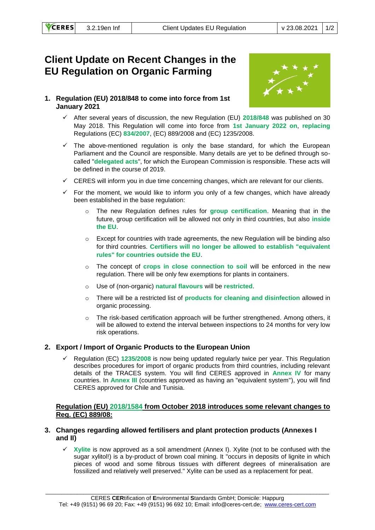# **Client Update on Recent Changes in the EU Regulation on Organic Farming**

## **1. Regulation (EU) 2018/848 to come into force from 1st January 2021**



- ✓ After several years of discussion, the new Regulation (EU) **2018/848** was published on 30 May 2018. This Regulation will come into force from **1st January 2022 on**, **replacing** Regulations (EC) **834/2007**, (EC) 889/2008 and (EC) 1235/2008.
- $\checkmark$  The above-mentioned regulation is only the base standard, for which the European Parliament and the Council are responsible. Many details are yet to be defined through socalled "**delegated acts**", for which the European Commission is responsible. These acts will be defined in the course of 2019.
- $\checkmark$  CERES will inform you in due time concerning changes, which are relevant for our clients.
- $\checkmark$  For the moment, we would like to inform you only of a few changes, which have already been established in the base regulation:
	- o The new Regulation defines rules for **group certification**. Meaning that in the future, group certification will be allowed not only in third countries, but also **inside the EU**.
	- $\circ$  Except for countries with trade agreements, the new Regulation will be binding also for third countries. **Certifiers will no longer be allowed to establish "equivalent rules" for countries outside the EU**.
	- o The concept of **crops in close connection to soil** will be enforced in the new regulation. There will be only few exemptions for plants in containers.
	- o Use of (non-organic) **natural flavours** will be **restricted**.
	- o There will be a restricted list of **products for cleaning and disinfection** allowed in organic processing.
	- $\circ$  The risk-based certification approach will be further strengthened. Among others, it will be allowed to extend the interval between inspections to 24 months for very low risk operations.

## **2. Export / Import of Organic Products to the European Union**

✓ Regulation (EC) **1235/2008** is now being updated regularly twice per year. This Regulation describes procedures for import of organic products from third countries, including relevant details of the TRACES system. You will find CERES approved in **Annex IV** for many countries. In **Annex III** (countries approved as having an "equivalent system"), you will find CERES approved for Chile and Tunisia.

### **Regulation (EU) 2018/1584 from October 2018 introduces some relevant changes to Reg. (EC) 889/08:**

#### **3. Changes regarding allowed fertilisers and plant protection products (Annexes I and II)**

✓ **Xylite** is now approved as a soil amendment (Annex I). Xylite (not to be confused with the sugar xylitol!) is a by-product of brown coal mining. It "occurs in deposits of lignite in which pieces of wood and some fibrous tissues with different degrees of mineralisation are fossilized and relatively well preserved." Xylite can be used as a replacement for peat.